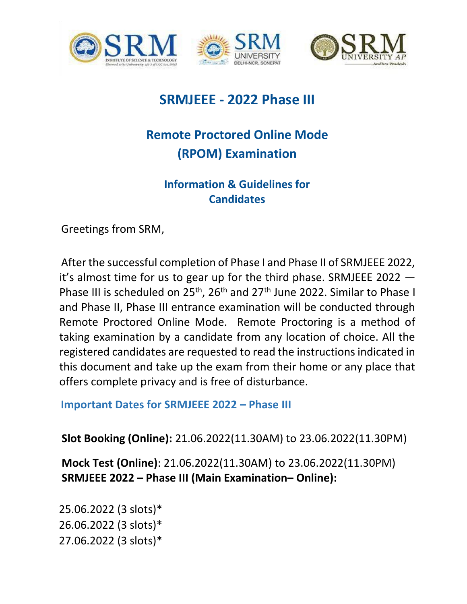





# **SRMJEEE - 2022 Phase III**

# **Remote Proctored Online Mode (RPOM) Examination**

## **Information & Guidelines for Candidates**

Greetings from SRM,

After the successful completion of Phase I and Phase II of SRMJEEE 2022, it's almost time for us to gear up for the third phase. SRMJEEE 2022 — Phase III is scheduled on 25<sup>th</sup>, 26<sup>th</sup> and 27<sup>th</sup> June 2022. Similar to Phase I and Phase II, Phase III entrance examination will be conducted through Remote Proctored Online Mode. Remote Proctoring is a method of taking examination by a candidate from any location of choice. All the registered candidates are requested to read the instructions indicated in this document and take up the exam from their home or any place that offers complete privacy and is free of disturbance.

**Important Dates for SRMJEEE 2022 – Phase III** 

**Slot Booking (Online):** 21.06.2022(11.30AM) to 23.06.2022(11.30PM)

**Mock Test (Online)**: 21.06.2022(11.30AM) to 23.06.2022(11.30PM) **SRMJEEE 2022 – Phase III (Main Examination– Online):**

25.06.2022 (3 slots)\* 26.06.2022 (3 slots)\* 27.06.2022 (3 slots)\*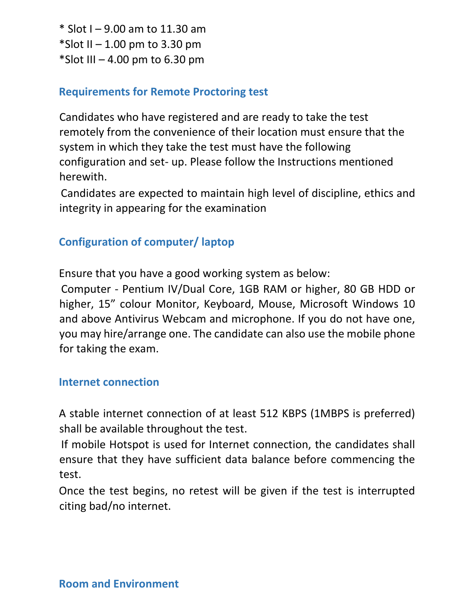\* Slot I – 9.00 am to 11.30 am  $*$ Slot II – 1.00 pm to 3.30 pm  $*$ Slot III – 4.00 pm to 6.30 pm

#### **Requirements for Remote Proctoring test**

Candidates who have registered and are ready to take the test remotely from the convenience of their location must ensure that the system in which they take the test must have the following configuration and set- up. Please follow the Instructions mentioned herewith.

Candidates are expected to maintain high level of discipline, ethics and integrity in appearing for the examination

### **Configuration of computer/ laptop**

Ensure that you have a good working system as below:

Computer - Pentium IV/Dual Core, 1GB RAM or higher, 80 GB HDD or higher, 15" colour Monitor, Keyboard, Mouse, Microsoft Windows 10 and above Antivirus Webcam and microphone. If you do not have one, you may hire/arrange one. The candidate can also use the mobile phone for taking the exam.

#### **Internet connection**

A stable internet connection of at least 512 KBPS (1MBPS is preferred) shall be available throughout the test.

If mobile Hotspot is used for Internet connection, the candidates shall ensure that they have sufficient data balance before commencing the test.

Once the test begins, no retest will be given if the test is interrupted citing bad/no internet.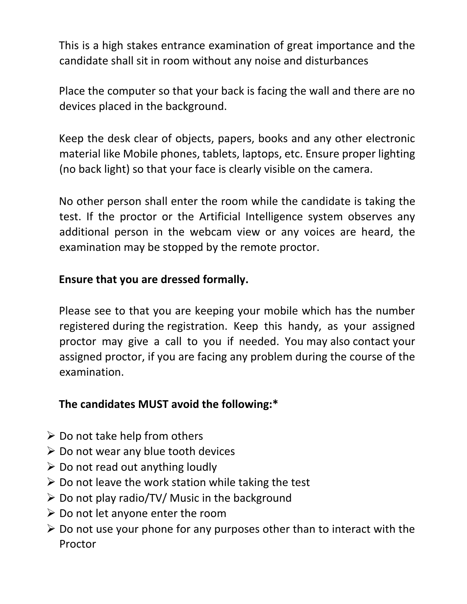This is a high stakes entrance examination of great importance and the candidate shall sit in room without any noise and disturbances

Place the computer so that your back is facing the wall and there are no devices placed in the background.

Keep the desk clear of objects, papers, books and any other electronic material like Mobile phones, tablets, laptops, etc. Ensure proper lighting (no back light) so that your face is clearly visible on the camera.

No other person shall enter the room while the candidate is taking the test. If the proctor or the Artificial Intelligence system observes any additional person in the webcam view or any voices are heard, the examination may be stopped by the remote proctor.

### **Ensure that you are dressed formally.**

Please see to that you are keeping your mobile which has the number registered during the registration. Keep this handy, as your assigned proctor may give a call to you if needed. You may also contact your assigned proctor, if you are facing any problem during the course of the examination.

## **The candidates MUST avoid the following:\***

- $\triangleright$  Do not take help from others
- $\triangleright$  Do not wear any blue tooth devices
- $\triangleright$  Do not read out anything loudly
- $\triangleright$  Do not leave the work station while taking the test
- $\triangleright$  Do not play radio/TV/ Music in the background
- $\triangleright$  Do not let anyone enter the room
- $\triangleright$  Do not use your phone for any purposes other than to interact with the Proctor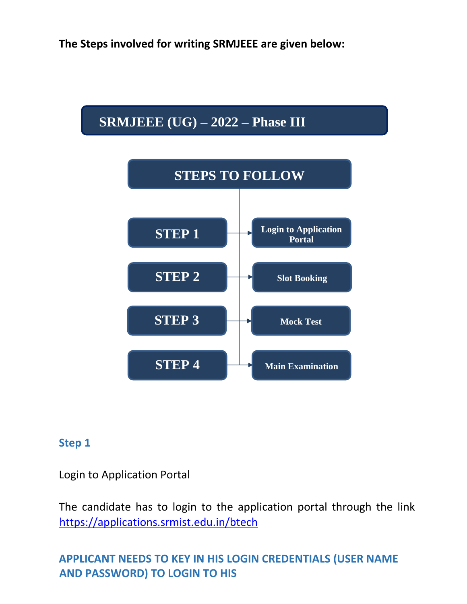**The Steps involved for writing SRMJEEE are given below:** 

# **SRMJEEE (UG) – 2022 – Phase III**



#### **Step 1**

Login to Application Portal

The candidate has to login to the application portal through the link <https://applications.srmist.edu.in/btech>

### **APPLICANT NEEDS TO KEY IN HIS LOGIN CREDENTIALS (USER NAME AND PASSWORD) TO LOGIN TO HIS**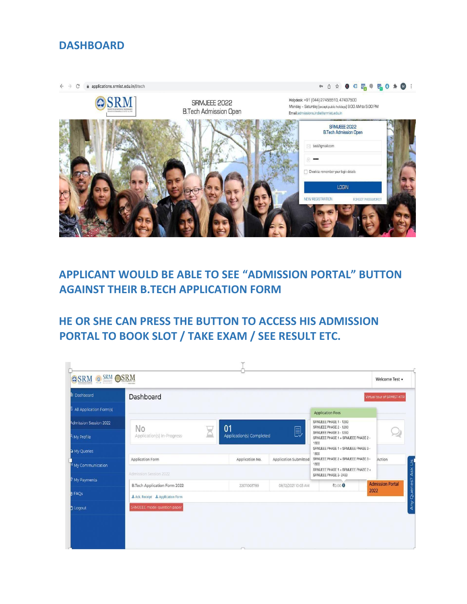#### **DASHBOARD**



## **APPLICANT WOULD BE ABLE TO SEE "ADMISSION PORTAL" BUTTON AGAINST THEIR B.TECH APPLICATION FORM**

**HE OR SHE CAN PRESS THE BUTTON TO ACCESS HIS ADMISSION PORTAL TO BOOK SLOT / TAKE EXAM / SEE RESULT ETC.** 

| II Dashboard                                  | Dashboard                                        |                                     |                       |                                                                                                                           | Virtual tour of SRMIST-KTR |  |
|-----------------------------------------------|--------------------------------------------------|-------------------------------------|-----------------------|---------------------------------------------------------------------------------------------------------------------------|----------------------------|--|
| 링 All Application Form(s)                     |                                                  |                                     |                       | <b>Application Fees</b>                                                                                                   |                            |  |
| <b>Admission Session 2022</b><br>K My Profile | No<br>Application(s) In-Progress                 | 01<br>凬<br>Application(s) Completed |                       | SRMJEEE PHASE 1 - 1200<br>SRMJEEE PHASE 2 - 1200<br>SRMJEEE PHASE 3 - 1200<br>SRMJEEE PHASE 1 + SRMJEEE PHASE 2 -<br>1800 |                            |  |
| My Queries                                    |                                                  |                                     |                       | SRMJEEE PHASE 1 + SRMJEEE PHASE 3 -<br>1800                                                                               |                            |  |
| My Communication                              | <b>Application Form</b>                          | Application No.                     | Application Submitted | SRMJEEE PHASE 2 + SRMJEEE PHASE 3 -<br>Action<br>1800                                                                     |                            |  |
|                                               | Admission Session 2022                           |                                     |                       | SRMJEEE PHASE 1 + SRMJEEE PHASE 2 +<br>SRMJEEE PHASE 3-2400                                                               |                            |  |
| <b>My Payments</b>                            | B.Tech Application Form 2022                     | 22011003789                         | 08/12/2021 10:03 AM   | ₹0.00 0                                                                                                                   | <b>Admission Portal</b>    |  |
| <b>D</b> FAQS                                 | 2022<br>去 Ack. Receipt <b>去</b> Application Form |                                     |                       |                                                                                                                           |                            |  |
| J Logout                                      | SRMJEEE model question paper                     |                                     |                       |                                                                                                                           |                            |  |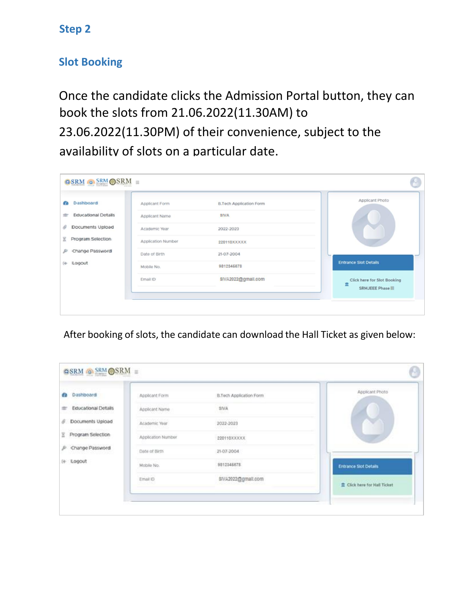### **Step 2**

#### **Slot Booking**

Once the candidate clicks the Admission Portal button, they can book the slots from 21.06.2022(11.30AM) to 23.06.2022(11.30PM) of their convenience, subject to the availability of slots on a particular date.

| Dashboard<br>æ      | Applicant Form     | <b>B.Tech Application Form</b> | Applicant Photo                                       |
|---------------------|--------------------|--------------------------------|-------------------------------------------------------|
| Educational Details | Applicant Name     | <b>SIVA</b>                    |                                                       |
| Documents Upload    | Academic Year      | 2022-2023                      |                                                       |
| Program Selection   | Application Number | 220110XXXXX                    |                                                       |
| Change Password     | Date of Birth      | 21-07-2004                     |                                                       |
| (+ ILogout          | Mobile No.         | 9812345678                     | <b>Entrance Slot Details</b>                          |
|                     | Email ID           | \$IVA2022@gmail.com            | Click here for Slot Booking<br>Ē<br>SRMJEEE Phase III |

After booking of slots, the candidate can download the Hall Ticket as given below:

| Dashboard<br>łд          | Applicant Form     | B.Tech Application Form | Applicant Photo                                            |
|--------------------------|--------------------|-------------------------|------------------------------------------------------------|
| Educational Details<br>÷ | Applicant Name     | <b>SIVA</b>             |                                                            |
| Documents Upload<br>s    | Academic Year      | 2022-2023               |                                                            |
| Program Selection        | Application Number | 220110XXXXX             |                                                            |
| P Change Password        | Date of Birth.     | 21-07-2004              |                                                            |
| (+ Logout                | Mobile No.         | 9812346678              | <b>Entrance Slot Details</b>                               |
|                          | Email ID           | \$IVA2022@gmail.com     | <b>CONTRACTOR</b> CONTRACTOR<br>Click here for Hall Ticket |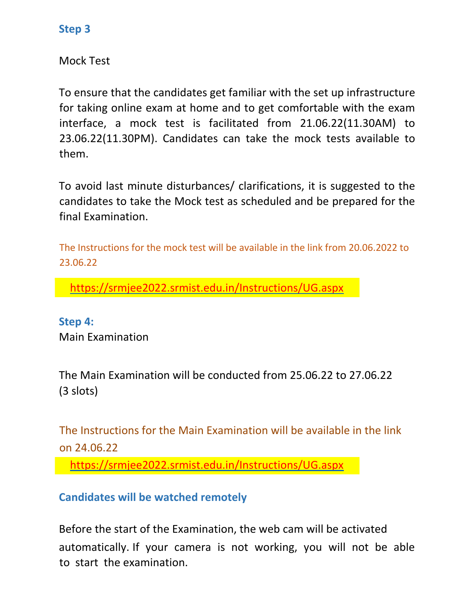#### **Step 3**

Mock Test

To ensure that the candidates get familiar with the set up infrastructure for taking online exam at home and to get comfortable with the exam interface, a mock test is facilitated from 21.06.22(11.30AM) to 23.06.22(11.30PM). Candidates can take the mock tests available to them.

To avoid last minute disturbances/ clarifications, it is suggested to the candidates to take the Mock test as scheduled and be prepared for the final Examination.

The Instructions for the mock test will be available in the link from 20.06.2022 to 23.06.22

<https://srmjee2022.srmist.edu.in/Instructions/UG.aspx>

**Step 4:**  Main Examination

The Main Examination will be conducted from 25.06.22 to 27.06.22 (3 slots)

The Instructions for the Main Examination will be available in the link on 24.06.22

<https://srmjee2022.srmist.edu.in/Instructions/UG.aspx>

**Candidates will be watched remotely**

Before the start of the Examination, the web cam will be activated automatically. If your camera is not working, you will not be able to start the examination.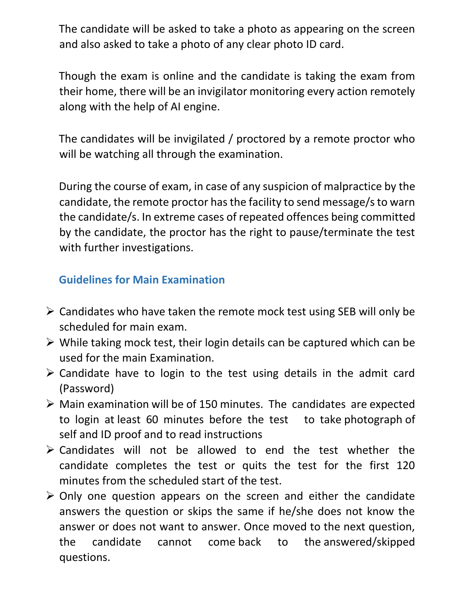The candidate will be asked to take a photo as appearing on the screen and also asked to take a photo of any clear photo ID card.

Though the exam is online and the candidate is taking the exam from their home, there will be an invigilator monitoring every action remotely along with the help of AI engine.

The candidates will be invigilated / proctored by a remote proctor who will be watching all through the examination.

During the course of exam, in case of any suspicion of malpractice by the candidate, the remote proctor has the facility to send message/s to warn the candidate/s. In extreme cases of repeated offences being committed by the candidate, the proctor has the right to pause/terminate the test with further investigations.

### **Guidelines for Main Examination**

- $\triangleright$  Candidates who have taken the remote mock test using SEB will only be scheduled for main exam.
- $\triangleright$  While taking mock test, their login details can be captured which can be used for the main Examination.
- $\triangleright$  Candidate have to login to the test using details in the admit card (Password)
- $\triangleright$  Main examination will be of 150 minutes. The candidates are expected to login at least 60 minutes before the test to take photograph of self and ID proof and to read instructions
- $\triangleright$  Candidates will not be allowed to end the test whether the candidate completes the test or quits the test for the first 120 minutes from the scheduled start of the test.
- $\triangleright$  Only one question appears on the screen and either the candidate answers the question or skips the same if he/she does not know the answer or does not want to answer. Once moved to the next question, the candidate cannot come back to the answered/skipped questions.